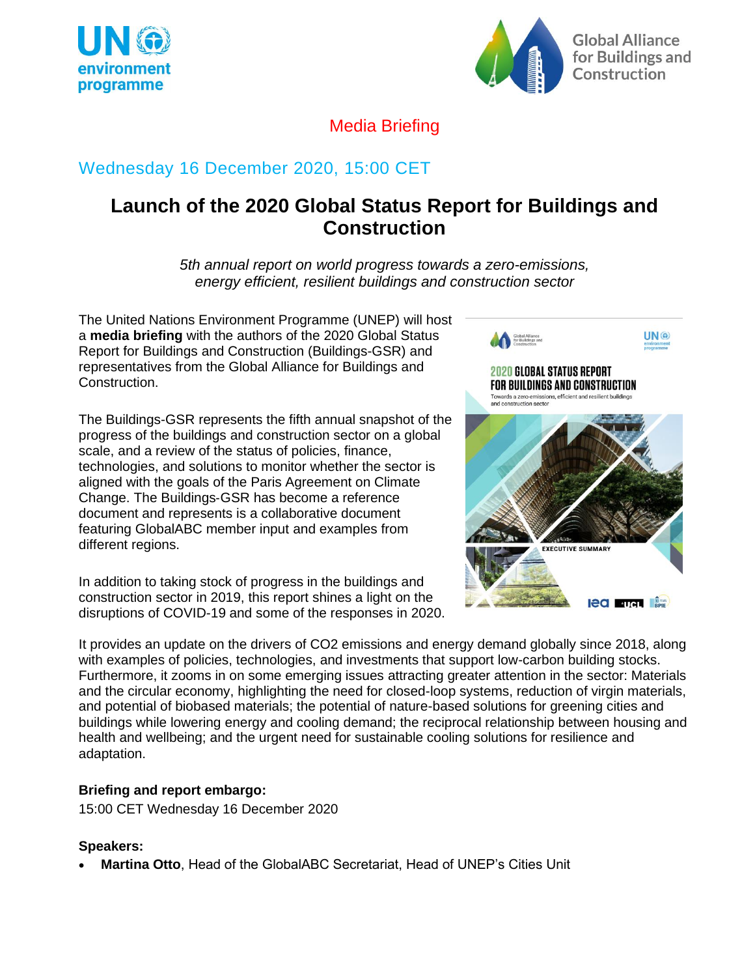



## Media Briefing

# Wednesday 16 December 2020, 15:00 CET

# **Launch of the 2020 Global Status Report for Buildings and Construction**

*5th annual report on world progress towards a zero-emissions, energy efficient, resilient buildings and construction sector*

The United Nations Environment Programme (UNEP) will host a **media briefing** with the authors of the 2020 Global Status Report for Buildings and Construction (Buildings-GSR) and representatives from the Global Alliance for Buildings and Construction.

The Buildings-GSR represents the fifth annual snapshot of the progress of the buildings and construction sector on a global scale, and a review of the status of policies, finance, technologies, and solutions to monitor whether the sector is aligned with the goals of the Paris Agreement on Climate Change. The Buildings‐GSR has become a reference document and represents is a collaborative document featuring GlobalABC member input and examples from different regions.

In addition to taking stock of progress in the buildings and construction sector in 2019, this report shines a light on the disruptions of COVID-19 and some of the responses in 2020.



It provides an update on the drivers of CO2 emissions and energy demand globally since 2018, along with examples of policies, technologies, and investments that support low-carbon building stocks. Furthermore, it zooms in on some emerging issues attracting greater attention in the sector: Materials and the circular economy, highlighting the need for closed-loop systems, reduction of virgin materials, and potential of biobased materials; the potential of nature-based solutions for greening cities and buildings while lowering energy and cooling demand; the reciprocal relationship between housing and health and wellbeing; and the urgent need for sustainable cooling solutions for resilience and adaptation.

## **Briefing and report embargo:**

15:00 CET Wednesday 16 December 2020

## **Speakers:**

• **Martina Otto**, Head of the GlobalABC Secretariat, Head of UNEP's Cities Unit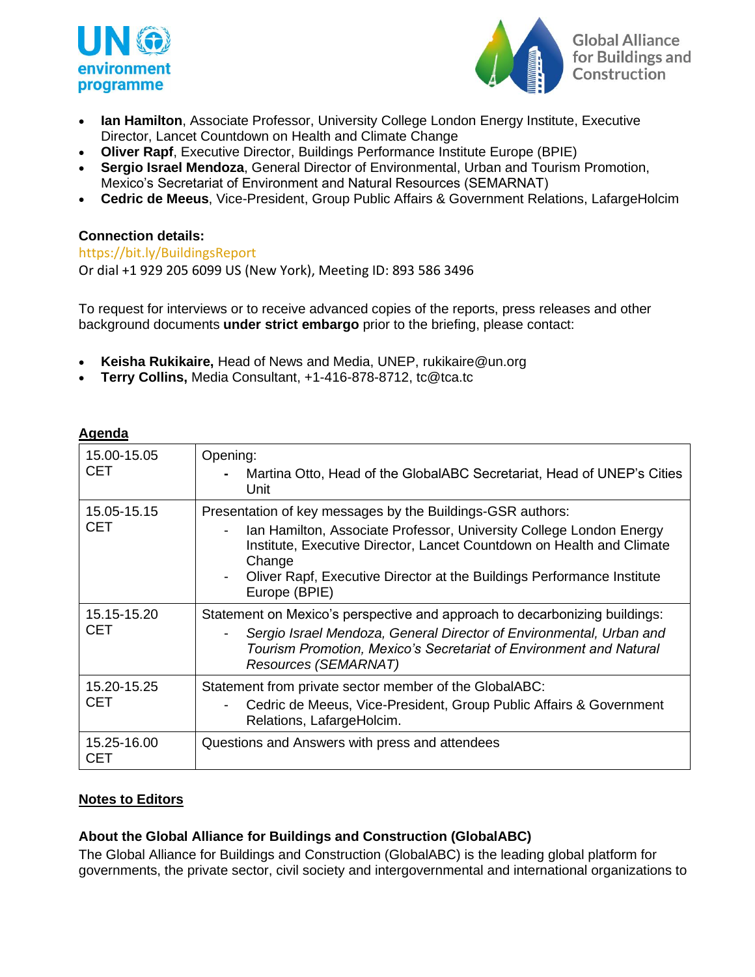



- **Ian Hamilton**, Associate Professor, University College London Energy Institute, Executive Director, Lancet Countdown on Health and Climate Change
- **Oliver Rapf**, Executive Director, Buildings Performance Institute Europe (BPIE)
- **Sergio Israel Mendoza**, General Director of Environmental, Urban and Tourism Promotion, Mexico's Secretariat of Environment and Natural Resources (SEMARNAT)
- **Cedric de Meeus**, Vice-President, Group Public Affairs & Government Relations, LafargeHolcim

### **Connection details:**

<https://bit.ly/BuildingsReport>

Or dial +1 929 205 6099 US (New York), Meeting ID: 893 586 3496

To request for interviews or to receive advanced copies of the reports, press releases and other background documents **under strict embargo** prior to the briefing, please contact:

- **Keisha Rukikaire,** Head of News and Media, UNEP, [rukikaire@un.org](mailto:rukikaire@un.org)
- **Terry Collins,** Media Consultant, +1-416-878-8712, tc@tca.tc

#### **Agenda**

| 15.00-15.05<br><b>CET</b> | Opening:<br>Martina Otto, Head of the GlobalABC Secretariat, Head of UNEP's Cities<br>Unit                                                                                                                                                                                                                      |
|---------------------------|-----------------------------------------------------------------------------------------------------------------------------------------------------------------------------------------------------------------------------------------------------------------------------------------------------------------|
| 15.05-15.15<br><b>CET</b> | Presentation of key messages by the Buildings-GSR authors:<br>Ian Hamilton, Associate Professor, University College London Energy<br>Institute, Executive Director, Lancet Countdown on Health and Climate<br>Change<br>Oliver Rapf, Executive Director at the Buildings Performance Institute<br>Europe (BPIE) |
| 15.15-15.20<br><b>CET</b> | Statement on Mexico's perspective and approach to decarbonizing buildings:<br>Sergio Israel Mendoza, General Director of Environmental, Urban and<br>Tourism Promotion, Mexico's Secretariat of Environment and Natural<br>Resources (SEMARNAT)                                                                 |
| 15.20-15.25<br><b>CET</b> | Statement from private sector member of the GlobalABC:<br>Cedric de Meeus, Vice-President, Group Public Affairs & Government<br>Relations, LafargeHolcim.                                                                                                                                                       |
| 15.25-16.00<br>CET        | Questions and Answers with press and attendees                                                                                                                                                                                                                                                                  |

#### **Notes to Editors**

#### **About the Global Alliance for Buildings and Construction (GlobalABC)**

The Global Alliance for Buildings and Construction (GlobalABC) is the leading global platform for governments, the private sector, civil society and intergovernmental and international organizations to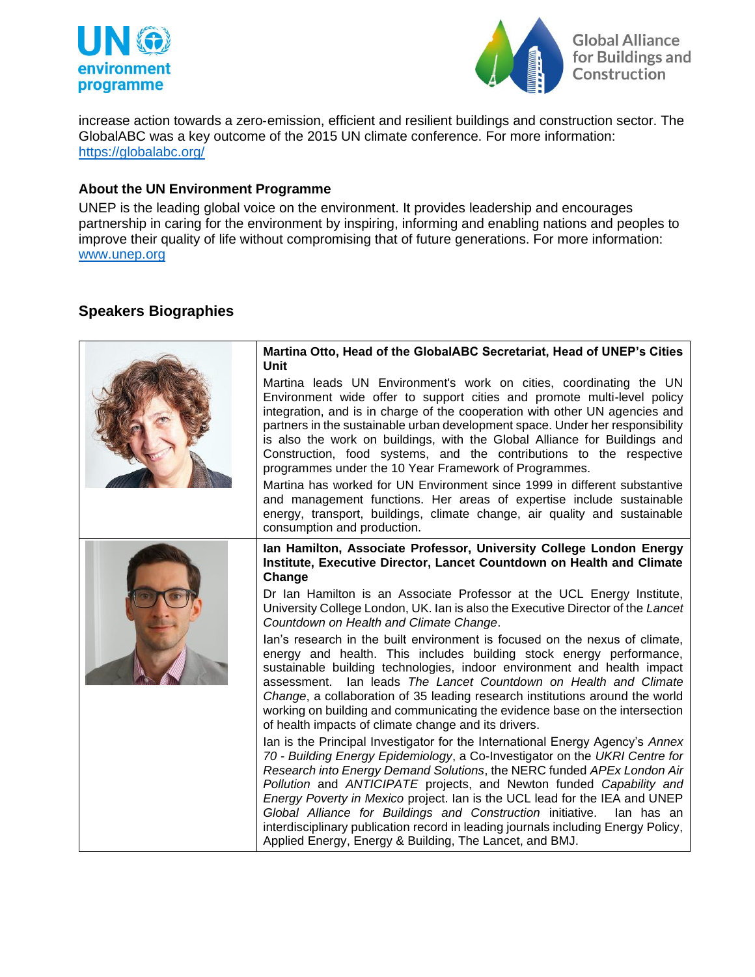



increase action towards a zero‐emission, efficient and resilient buildings and construction sector. The GlobalABC was a key outcome of the 2015 UN climate conference. For more information: <https://globalabc.org/>

#### **About the UN Environment Programme**

UNEP is the leading global voice on the environment. It provides leadership and encourages partnership in caring for the environment by inspiring, informing and enabling nations and peoples to improve their quality of life without compromising that of future generations. For more information: [www.unep.org](http://www.unep.org/)

## **Speakers Biographies**

| Martina Otto, Head of the GlobalABC Secretariat, Head of UNEP's Cities<br>Unit                                                                                                                                                                                                                                                                                                                                                                                                                                                                                                                                                                                                                                                                                                              |
|---------------------------------------------------------------------------------------------------------------------------------------------------------------------------------------------------------------------------------------------------------------------------------------------------------------------------------------------------------------------------------------------------------------------------------------------------------------------------------------------------------------------------------------------------------------------------------------------------------------------------------------------------------------------------------------------------------------------------------------------------------------------------------------------|
| Martina leads UN Environment's work on cities, coordinating the UN<br>Environment wide offer to support cities and promote multi-level policy<br>integration, and is in charge of the cooperation with other UN agencies and<br>partners in the sustainable urban development space. Under her responsibility<br>is also the work on buildings, with the Global Alliance for Buildings and<br>Construction, food systems, and the contributions to the respective<br>programmes under the 10 Year Framework of Programmes.<br>Martina has worked for UN Environment since 1999 in different substantive<br>and management functions. Her areas of expertise include sustainable<br>energy, transport, buildings, climate change, air quality and sustainable<br>consumption and production. |
| Ian Hamilton, Associate Professor, University College London Energy<br>Institute, Executive Director, Lancet Countdown on Health and Climate<br>Change                                                                                                                                                                                                                                                                                                                                                                                                                                                                                                                                                                                                                                      |
| Dr Ian Hamilton is an Associate Professor at the UCL Energy Institute,<br>University College London, UK. Ian is also the Executive Director of the Lancet<br>Countdown on Health and Climate Change.                                                                                                                                                                                                                                                                                                                                                                                                                                                                                                                                                                                        |
| lan's research in the built environment is focused on the nexus of climate,<br>energy and health. This includes building stock energy performance,<br>sustainable building technologies, indoor environment and health impact<br>lan leads The Lancet Countdown on Health and Climate<br>assessment.<br>Change, a collaboration of 35 leading research institutions around the world<br>working on building and communicating the evidence base on the intersection<br>of health impacts of climate change and its drivers.                                                                                                                                                                                                                                                                 |
| Ian is the Principal Investigator for the International Energy Agency's Annex<br>70 - Building Energy Epidemiology, a Co-Investigator on the UKRI Centre for<br>Research into Energy Demand Solutions, the NERC funded APEx London Air<br>Pollution and ANTICIPATE projects, and Newton funded Capability and<br>Energy Poverty in Mexico project. Ian is the UCL lead for the IEA and UNEP<br>Global Alliance for Buildings and Construction initiative.<br>lan has an<br>interdisciplinary publication record in leading journals including Energy Policy,<br>Applied Energy, Energy & Building, The Lancet, and BMJ.                                                                                                                                                                     |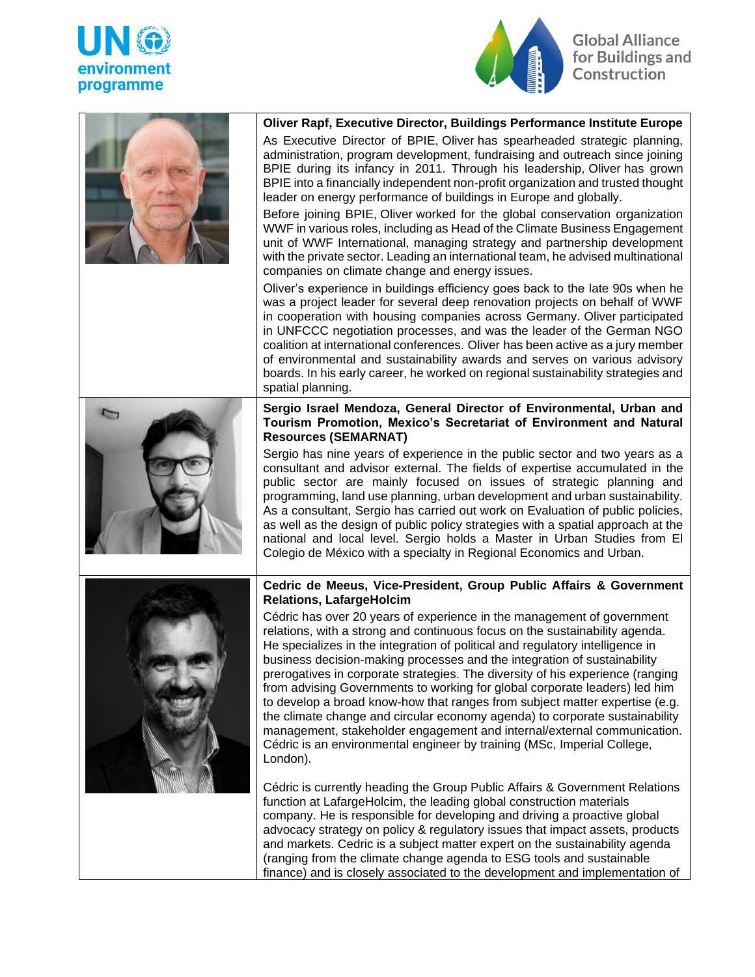



**Global Alliance** for Buildings and Construction